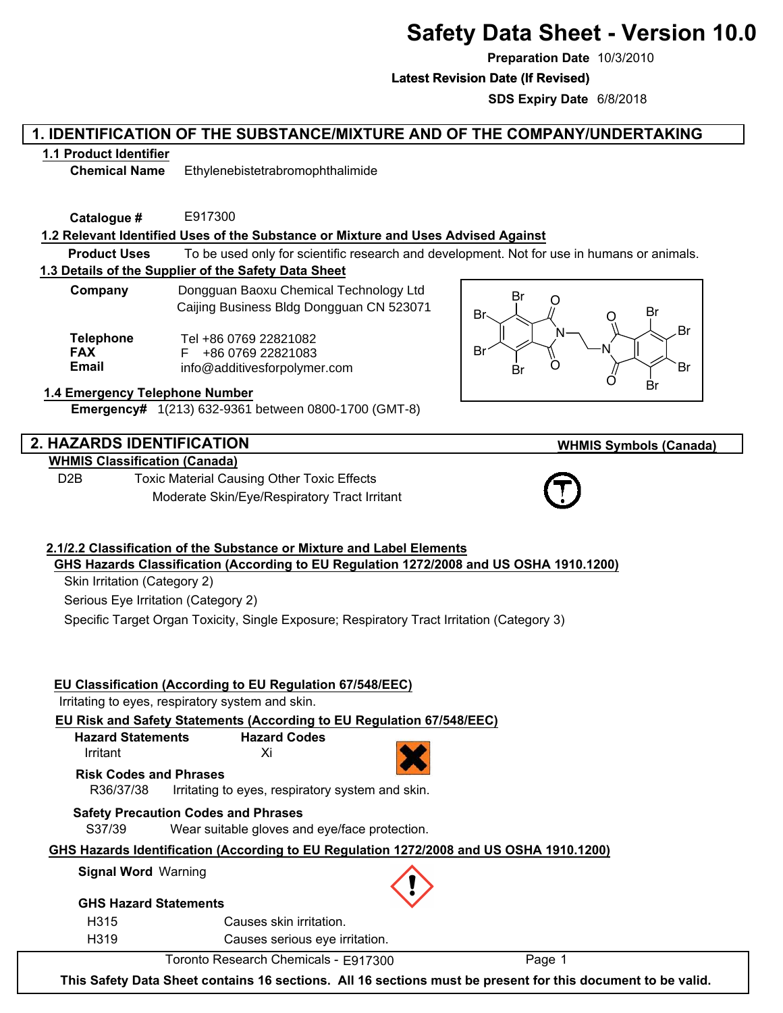# **Safety Data Sheet - Version 10.0**

**Preparation Date** 10/3/2010

**Latest Revision Date (If Revised) Latest Revision Date (If Revised)**

**SDS Expiry Date** 6/8/2018

# **1. IDENTIFICATION OF THE SUBSTANCE/MIXTURE AND OF THE COMPANY/UNDERTAKING**

# **1.1 Product Identifier**

**Chemical Name** Ethylenebistetrabromophthalimide

**Catalogue #** E917300

# **1.2 Relevant Identified Uses of the Substance or Mixture and Uses Advised Against**

**Product Uses** To be used only for scientific research and development. Not for use in humans or animals.

## **1.3 Details of the Supplier of the Safety Data Sheet**

**Company Dongguan Baoxu Chemical Technology Ltd** Caijing Business Bldg Dongguan CN 523071

**Telephone FAX Email** Tel +86 0769 22821082 F +86 0769 22821083 info@additivesforpolymer.com

## **1.4 Emergency Telephone Number**

**Emergency#** 1(213) 632-9361 between 0800-1700 (GMT-8)

# **2. HAZARDS IDENTIFICATION**

# **WHMIS Classification (Canada)**

D2B Toxic Material Causing Other Toxic Effects Moderate Skin/Eye/Respiratory Tract Irritant



# **WHMIS Symbols (Canada)**



#### **2.1/2.2 Classification of the Substance or Mixture and Label Elements GHS Hazards Classification (According to EU Regulation 1272/2008 and US OSHA 1910.1200)**

Skin Irritation (Category 2)

Serious Eye Irritation (Category 2)

Specific Target Organ Toxicity, Single Exposure; Respiratory Tract Irritation (Category 3)

# **EU Classification (According to EU Regulation 67/548/EEC)**

Irritating to eyes, respiratory system and skin.

#### **EU Risk and Safety Statements (According to EU Regulation 67/548/EEC)**

| <b>Hazard Statements</b> | <b>Hazard Codes</b> |
|--------------------------|---------------------|
| Irritant                 | Xi                  |

R36/37/38 Irritating to eyes, respiratory system and skin. **Risk Codes and Phrases**

# **Safety Precaution Codes and Phrases**

S37/39 Wear suitable gloves and eye/face protection.

## **GHS Hazards Identification (According to EU Regulation 1272/2008 and US OSHA 1910.1200)**

### **Signal Word** Warning

#### **GHS Hazard Statements**

H315 H319 Causes skin irritation.

Causes serious eye irritation.

Toronto Research Chemicals - E917300 Page 1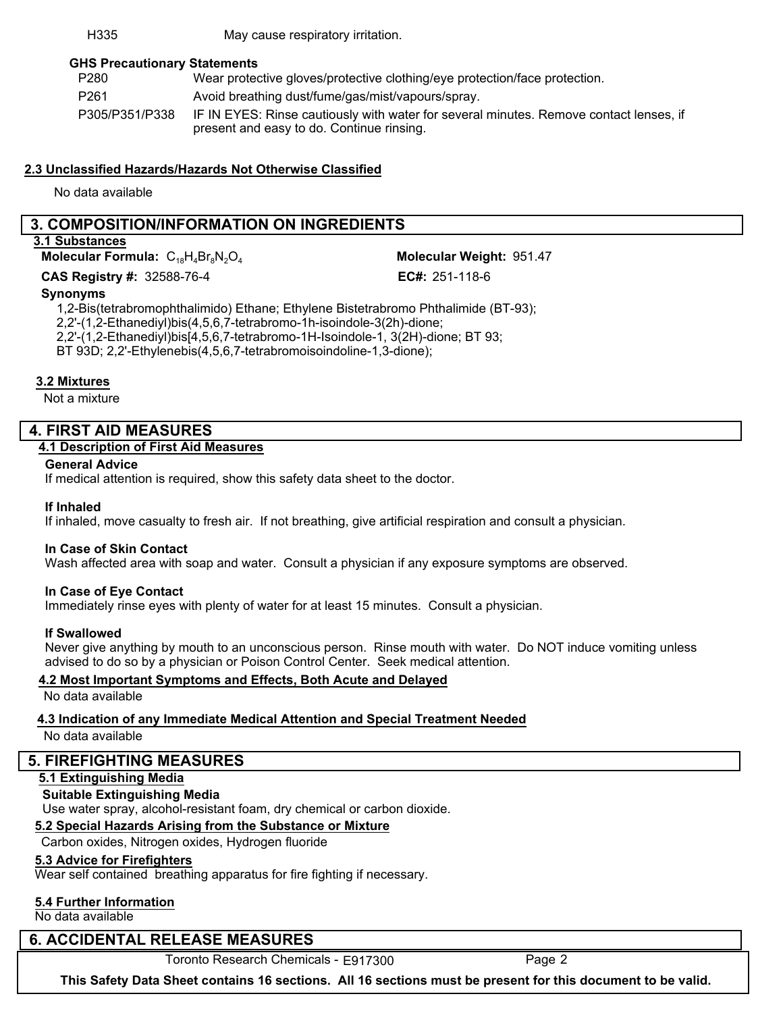#### H335 May cause respiratory irritation.

## **GHS Precautionary Statements**

| P <sub>280</sub> | Wear protective gloves/protective clothing/eye protection/face protection.                                                          |
|------------------|-------------------------------------------------------------------------------------------------------------------------------------|
| P <sub>261</sub> | Avoid breathing dust/fume/gas/mist/vapours/spray.                                                                                   |
| P305/P351/P338   | IF IN EYES: Rinse cautiously with water for several minutes. Remove contact lenses, if<br>present and easy to do. Continue rinsing. |

## **2.3 Unclassified Hazards/Hazards Not Otherwise Classified**

No data available

# **3. COMPOSITION/INFORMATION ON INGREDIENTS**

#### **3.1 Substances**

**Molecular Formula:**  $C_{18}H_4Br_8N_2O_4$ 

**CAS** Registry #: 32588-76-4

Molecular Weight: 951.47 EC#: 251-118-6

#### **Synonyms**

1,2-Bis(tetrabromophthalimido) Ethane; Ethylene Bistetrabromo Phthalimide (BT-93); 2,2'-(1,2-Ethanediyl)bis(4,5,6,7-tetrabromo-1h-isoindole-3(2h)-dione; 2,2'-(1,2-Ethanediyl)bis[4,5,6,7-tetrabromo-1H-Isoindole-1, 3(2H)-dione; BT 93; BT 93D; 2,2'-Ethylenebis(4,5,6,7-tetrabromoisoindoline-1,3-dione);

## **3.2 Mixtures**

Not a mixture

# **4. FIRST AID MEASURES**

## **4.1 Description of First Aid Measures**

## **General Advice**

If medical attention is required, show this safety data sheet to the doctor.

#### **If Inhaled**

If inhaled, move casualty to fresh air. If not breathing, give artificial respiration and consult a physician.

#### **In Case of Skin Contact**

Wash affected area with soap and water. Consult a physician if any exposure symptoms are observed.

#### **In Case of Eye Contact**

Immediately rinse eyes with plenty of water for at least 15 minutes. Consult a physician.

#### **If Swallowed**

Never give anything by mouth to an unconscious person. Rinse mouth with water. Do NOT induce vomiting unless advised to do so by a physician or Poison Control Center. Seek medical attention.

#### **4.2 Most Important Symptoms and Effects, Both Acute and Delayed**

No data available

# **4.3 Indication of any Immediate Medical Attention and Special Treatment Needed**

No data available

# **5. FIREFIGHTING MEASURES**

# **5.1 Extinguishing Media**

# **Suitable Extinguishing Media**

Use water spray, alcohol-resistant foam, dry chemical or carbon dioxide.

# **5.2 Special Hazards Arising from the Substance or Mixture**

Carbon oxides, Nitrogen oxides, Hydrogen fluoride

# **5.3 Advice for Firefighters**

Wear self contained breathing apparatus for fire fighting if necessary.

# **5.4 Further Information**

No data available

# **6. ACCIDENTAL RELEASE MEASURES**

Toronto Research Chemicals - E917300 Page 2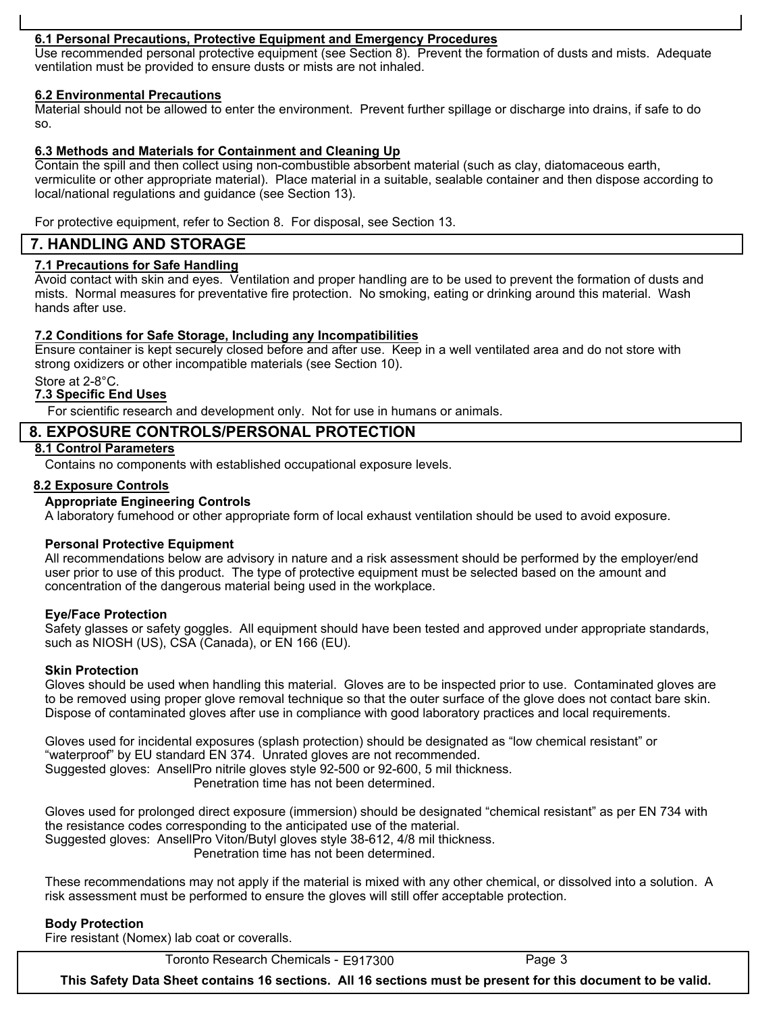# **6.1 Personal Precautions, Protective Equipment and Emergency Procedures**

Use recommended personal protective equipment (see Section 8). Prevent the formation of dusts and mists. Adequate ventilation must be provided to ensure dusts or mists are not inhaled.

## **6.2 Environmental Precautions**

Material should not be allowed to enter the environment. Prevent further spillage or discharge into drains, if safe to do so.

# **6.3 Methods and Materials for Containment and Cleaning Up**

Contain the spill and then collect using non-combustible absorbent material (such as clay, diatomaceous earth, vermiculite or other appropriate material). Place material in a suitable, sealable container and then dispose according to local/national regulations and guidance (see Section 13).

For protective equipment, refer to Section 8. For disposal, see Section 13.

# 6.1 - 6.4 Normal Accidental Release Measures **7. HANDLING AND STORAGE**

## **7.1 Precautions for Safe Handling**

Avoid contact with skin and eyes. Ventilation and proper handling are to be used to prevent the formation of dusts and mists. Normal measures for preventative fire protection. No smoking, eating or drinking around this material. Wash hands after use.

#### **7.2 Conditions for Safe Storage, Including any Incompatibilities**

Ensure container is kept securely closed before and after use. Keep in a well ventilated area and do not store with strong oxidizers or other incompatible materials (see Section 10).

## Store at 2-8°C.

## **7.3 Specific End Uses**

For scientific research and development only. Not for use in humans or animals.

# **8. EXPOSURE CONTROLS/PERSONAL PROTECTION**

## **8.1 Control Parameters**

Contains no components with established occupational exposure levels.

## **8.2 Exposure Controls**

#### **Appropriate Engineering Controls**

A laboratory fumehood or other appropriate form of local exhaust ventilation should be used to avoid exposure.

#### **Personal Protective Equipment**

All recommendations below are advisory in nature and a risk assessment should be performed by the employer/end user prior to use of this product. The type of protective equipment must be selected based on the amount and concentration of the dangerous material being used in the workplace.

#### **Eye/Face Protection**

Safety glasses or safety goggles. All equipment should have been tested and approved under appropriate standards, such as NIOSH (US), CSA (Canada), or EN 166 (EU).

#### **Skin Protection**

Gloves should be used when handling this material. Gloves are to be inspected prior to use. Contaminated gloves are to be removed using proper glove removal technique so that the outer surface of the glove does not contact bare skin. Dispose of contaminated gloves after use in compliance with good laboratory practices and local requirements.

Gloves used for incidental exposures (splash protection) should be designated as "low chemical resistant" or "waterproof" by EU standard EN 374. Unrated gloves are not recommended. Suggested gloves: AnsellPro nitrile gloves style 92-500 or 92-600, 5 mil thickness. Penetration time has not been determined.

Gloves used for prolonged direct exposure (immersion) should be designated "chemical resistant" as per EN 734 with the resistance codes corresponding to the anticipated use of the material. Suggested gloves: AnsellPro Viton/Butyl gloves style 38-612, 4/8 mil thickness. Penetration time has not been determined.

These recommendations may not apply if the material is mixed with any other chemical, or dissolved into a solution. A risk assessment must be performed to ensure the gloves will still offer acceptable protection.

#### **Body Protection**

Fire resistant (Nomex) lab coat or coveralls.

Toronto Research Chemicals - E917300 Page 3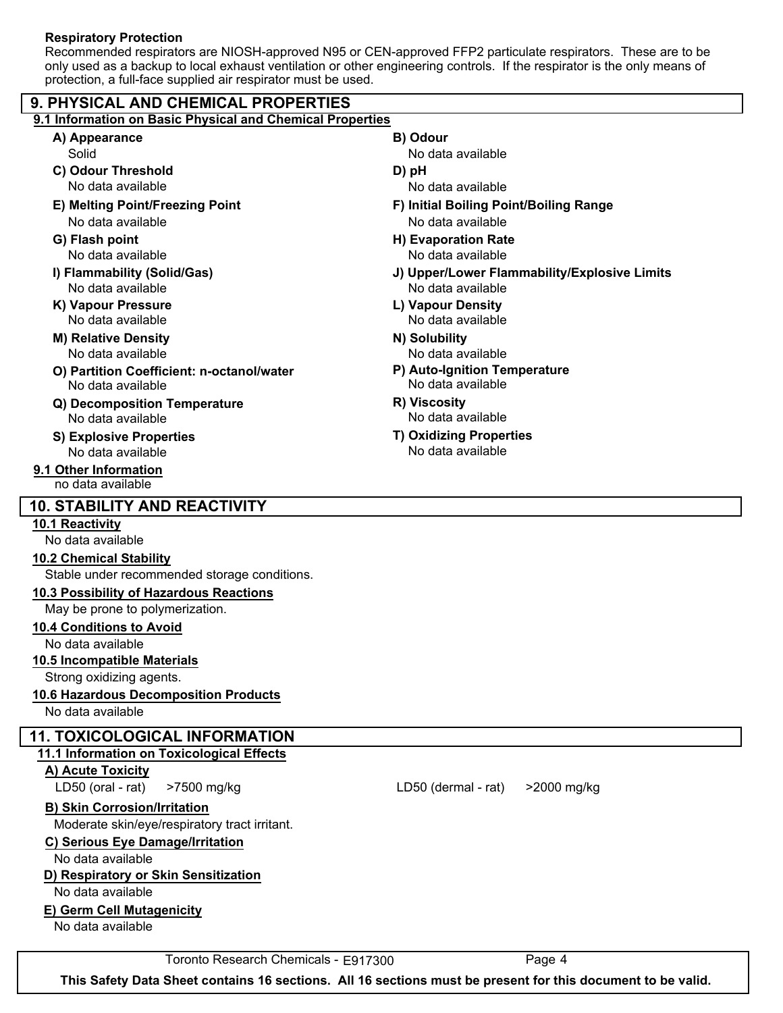## **Respiratory Protection**

Recommended respirators are NIOSH-approved N95 or CEN-approved FFP2 particulate respirators. These are to be only used as a backup to local exhaust ventilation or other engineering controls. If the respirator is the only means of protection, a full-face supplied air respirator must be used.

| 9.1 Information on Basic Physical and Chemical Properties |  |
|-----------------------------------------------------------|--|
| B) Odour                                                  |  |
| No data available                                         |  |
| D) pH                                                     |  |
| No data available                                         |  |
| F) Initial Boiling Point/Boiling Range                    |  |
| No data available                                         |  |
| H) Evaporation Rate                                       |  |
| No data available                                         |  |
| J) Upper/Lower Flammability/Explosive Limits              |  |
| No data available                                         |  |
| L) Vapour Density                                         |  |
| No data available                                         |  |
| N) Solubility                                             |  |
| No data available                                         |  |
| P) Auto-Ignition Temperature<br>No data available         |  |
| R) Viscosity                                              |  |
| No data available                                         |  |
| <b>T) Oxidizing Properties</b>                            |  |
| No data available                                         |  |
|                                                           |  |
|                                                           |  |
|                                                           |  |
|                                                           |  |
|                                                           |  |
|                                                           |  |
|                                                           |  |
|                                                           |  |
|                                                           |  |
|                                                           |  |
|                                                           |  |
|                                                           |  |
|                                                           |  |
|                                                           |  |
|                                                           |  |
|                                                           |  |
|                                                           |  |
|                                                           |  |
| LD50 (dermal - rat)<br>>2000 mg/kg                        |  |
|                                                           |  |
|                                                           |  |
|                                                           |  |
|                                                           |  |
|                                                           |  |
|                                                           |  |
|                                                           |  |
|                                                           |  |
|                                                           |  |
|                                                           |  |

Toronto Research Chemicals - E917300 Page 4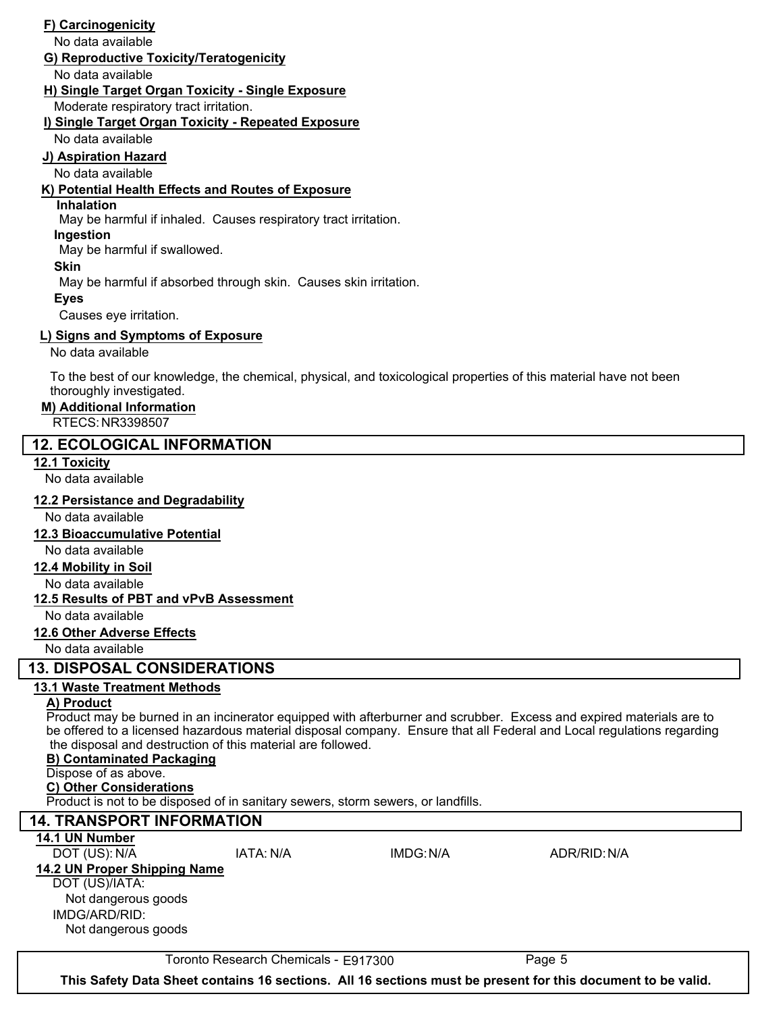# **F) Carcinogenicity**

No data available

# **G) Reproductive Toxicity/Teratogenicity**

No data available

# **H) Single Target Organ Toxicity - Single Exposure**

Moderate respiratory tract irritation.

# **i) Single Target Organ Toxicity - Repeated Exposure**

No data available

# All - no data available **J) Aspiration Hazard**

No data available

# **K) Potential Health Effects and Routes of Exposure**

# **Inhalation**

May be harmful if inhaled. Causes respiratory tract irritation.

## **Ingestion**

May be harmful if swallowed.

#### **Skin**

May be harmful if absorbed through skin. Causes skin irritation.

## **Eyes**

Causes eye irritation.

# **L) Signs and Symptoms of Exposure**

No data available

To the best of our knowledge, the chemical, physical, and toxicological properties of this material have not been thoroughly investigated.

# **M) Additional Information**

RTECS: NR3398507

# **12. ECOLOGICAL INFORMATION**

**12.1 Toxicity**

No data available

# **12.2 Persistance and Degradability**

No data available

# **12.3 Bioaccumulative Potential**

No data available

# **12.4 Mobility in Soil**

No data available

# **12.5 Results of PBT and vPvB Assessment**

No data available

# **12.6 Other Adverse Effects**

No data available

# **13. DISPOSAL CONSIDERATIONS**

# **13.1 Waste Treatment Methods**

# **A) Product**

Product may be burned in an incinerator equipped with afterburner and scrubber. Excess and expired materials are to be offered to a licensed hazardous material disposal company. Ensure that all Federal and Local regulations regarding the disposal and destruction of this material are followed.

#### **B) Contaminated Packaging**

# Dispose of as above.

# **C) Other Considerations**

Product is not to be disposed of in sanitary sewers, storm sewers, or landfills.

# **14. TRANSPORT INFORMATION**

**14.1 UN Number**

#### DOT (US): N/A IATA: N/A IMDG:N/A ADR/RID:N/A **14.2 UN Proper Shipping Name**

DOT (US)/IATA: Not dangerous goods

IMDG/ARD/RID: Not dangerous goods

Toronto Research Chemicals - E917300 Page 5